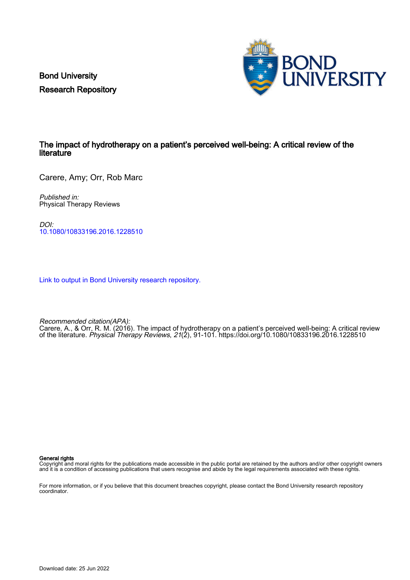Bond University Research Repository



## The impact of hydrotherapy on a patient's perceived well-being: A critical review of the literature

Carere, Amy; Orr, Rob Marc

Published in: Physical Therapy Reviews

DOI: [10.1080/10833196.2016.1228510](https://doi.org/10.1080/10833196.2016.1228510)

[Link to output in Bond University research repository.](https://research.bond.edu.au/en/publications/4cf2058a-f9ed-47ef-a3ce-4902e558c967)

Recommended citation(APA):

Carere, A., & Orr, R. M. (2016). The impact of hydrotherapy on a patient's perceived well-being: A critical review of the literature. Physical Therapy Reviews, 21(2), 91-101.<https://doi.org/10.1080/10833196.2016.1228510>

General rights

Copyright and moral rights for the publications made accessible in the public portal are retained by the authors and/or other copyright owners and it is a condition of accessing publications that users recognise and abide by the legal requirements associated with these rights.

For more information, or if you believe that this document breaches copyright, please contact the Bond University research repository coordinator.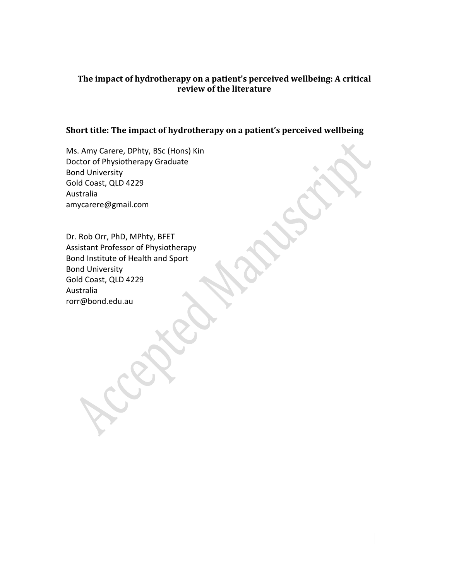# **The impact of hydrotherapy on a patient's perceived wellbeing: A critical review of the literature**

# **Short title: The impact of hydrotherapy on a patient's perceived wellbeing**

Ms. Amy Carere, DPhty, BSc (Hons) Kin Doctor of Physiotherapy Graduate Bond University Gold Coast, QLD 4229 Australia amycarere@gmail.com

Dr. Rob Orr, PhD, MPhty, BFET Assistant Professor of Physiotherapy Bond Institute of Health and Sport Bond University Gold Coast, QLD 4229 Australia rorr@bond.edu.au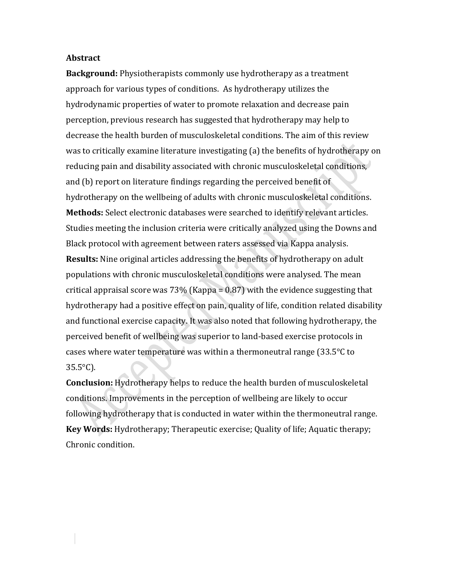#### **Abstract**

**Background:** Physiotherapists commonly use hydrotherapy as a treatment approach for various types of conditions. As hydrotherapy utilizes the hydrodynamic properties of water to promote relaxation and decrease pain perception, previous research has suggested that hydrotherapy may help to decrease the health burden of musculoskeletal conditions. The aim of this review was to critically examine literature investigating (a) the benefits of hydrotherapy on reducing pain and disability associated with chronic musculoskeletal conditions, and (b) report on literature findings regarding the perceived benefit of hydrotherapy on the wellbeing of adults with chronic musculoskeletal conditions. **Methods:** Select electronic databases were searched to identify relevant articles. Studies meeting the inclusion criteria were critically analyzed using the Downs and Black protocol with agreement between raters assessed via Kappa analysis. **Results:** Nine original articles addressing the benefits of hydrotherapy on adult populations with chronic musculoskeletal conditions were analysed. The mean critical appraisal score was  $73\%$  (Kappa = 0.87) with the evidence suggesting that hydrotherapy had a positive effect on pain, quality of life, condition related disability

and functional exercise capacity. It was also noted that following hydrotherapy, the perceived benefit of wellbeing was superior to land-based exercise protocols in cases where water temperature was within a thermoneutral range (33.5°C to 35.5°C).

**Conclusion:** Hydrotherapy helps to reduce the health burden of musculoskeletal conditions. Improvements in the perception of wellbeing are likely to occur following hydrotherapy that is conducted in water within the thermoneutral range. **Key Words:** Hydrotherapy; Therapeutic exercise; Quality of life; Aquatic therapy; Chronic condition.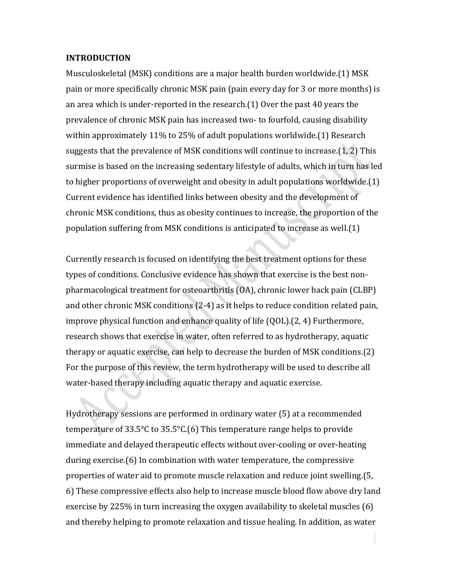## **INTRODUCTION**

Musculoskeletal (MSK) conditions are a major health burden worldwide.(1) MSK pain or more specifically chronic MSK pain (pain every day for 3 or more months) is an area which is under-reported in the research.(1) Over the past 40 years the prevalence of chronic MSK pain has increased two- to fourfold, causing disability within approximately 11% to 25% of adult populations worldwide.(1) Research suggests that the prevalence of MSK conditions will continue to increase.(1, 2) This surmise is based on the increasing sedentary lifestyle of adults, which in turn has led to higher proportions of overweight and obesity in adult populations worldwide.(1) Current evidence has identified links between obesity and the development of chronic MSK conditions, thus as obesity continues to increase, the proportion of the population suffering from MSK conditions is anticipated to increase as well.(1)

Currently research is focused on identifying the best treatment options for these types of conditions. Conclusive evidence has shown that exercise is the best nonpharmacological treatment for osteoarthritis (OA), chronic lower back pain (CLBP) and other chronic MSK conditions (2-4) as it helps to reduce condition related pain, improve physical function and enhance quality of life (QOL).(2, 4) Furthermore, research shows that exercise in water, often referred to as hydrotherapy, aquatic therapy or aquatic exercise, can help to decrease the burden of MSK conditions.(2) For the purpose of this review, the term hydrotherapy will be used to describe all water-based therapy including aquatic therapy and aquatic exercise.

Hydrotherapy sessions are performed in ordinary water (5) at a recommended temperature of 33.5°C to 35.5°C.(6) This temperature range helps to provide immediate and delayed therapeutic effects without over-cooling or over-heating during exercise.(6) In combination with water temperature, the compressive properties of water aid to promote muscle relaxation and reduce joint swelling.(5, 6) These compressive effects also help to increase muscle blood flow above dry land exercise by 225% in turn increasing the oxygen availability to skeletal muscles (6) and thereby helping to promote relaxation and tissue healing. In addition, as water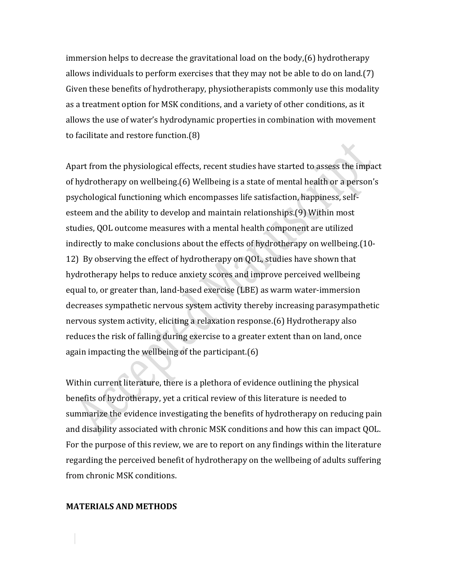immersion helps to decrease the gravitational load on the body,(6) hydrotherapy allows individuals to perform exercises that they may not be able to do on land.(7) Given these benefits of hydrotherapy, physiotherapists commonly use this modality as a treatment option for MSK conditions, and a variety of other conditions, as it allows the use of water's hydrodynamic properties in combination with movement to facilitate and restore function.(8)

Apart from the physiological effects, recent studies have started to assess the impact of hydrotherapy on wellbeing.(6) Wellbeing is a state of mental health or a person's psychological functioning which encompasses life satisfaction, happiness, selfesteem and the ability to develop and maintain relationships.(9) Within most studies, QOL outcome measures with a mental health component are utilized indirectly to make conclusions about the effects of hydrotherapy on wellbeing.(10- 12) By observing the effect of hydrotherapy on QOL, studies have shown that hydrotherapy helps to reduce anxiety scores and improve perceived wellbeing equal to, or greater than, land-based exercise (LBE) as warm water-immersion decreases sympathetic nervous system activity thereby increasing parasympathetic nervous system activity, eliciting a relaxation response.(6) Hydrotherapy also reduces the risk of falling during exercise to a greater extent than on land, once again impacting the wellbeing of the participant.(6)

Within current literature, there is a plethora of evidence outlining the physical benefits of hydrotherapy, yet a critical review of this literature is needed to summarize the evidence investigating the benefits of hydrotherapy on reducing pain and disability associated with chronic MSK conditions and how this can impact QOL. For the purpose of this review, we are to report on any findings within the literature regarding the perceived benefit of hydrotherapy on the wellbeing of adults suffering from chronic MSK conditions.

#### **MATERIALS AND METHODS**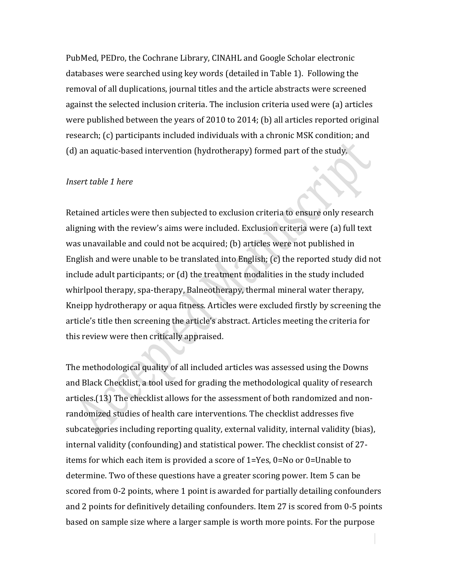PubMed, PEDro, the Cochrane Library, CINAHL and Google Scholar electronic databases were searched using key words (detailed in Table 1). Following the removal of all duplications, journal titles and the article abstracts were screened against the selected inclusion criteria. The inclusion criteria used were (a) articles were published between the years of 2010 to 2014; (b) all articles reported original research; (c) participants included individuals with a chronic MSK condition; and (d) an aquatic-based intervention (hydrotherapy) formed part of the study.

## *Insert table 1 here*

Retained articles were then subjected to exclusion criteria to ensure only research aligning with the review's aims were included. Exclusion criteria were (a) full text was unavailable and could not be acquired; (b) articles were not published in English and were unable to be translated into English; (c) the reported study did not include adult participants; or (d) the treatment modalities in the study included whirlpool therapy, spa-therapy, Balneotherapy, thermal mineral water therapy, Kneipp hydrotherapy or aqua fitness. Articles were excluded firstly by screening the article's title then screening the article's abstract. Articles meeting the criteria for this review were then critically appraised.

The methodological quality of all included articles was assessed using the Downs and Black Checklist, a tool used for grading the methodological quality of research articles.(13) The checklist allows for the assessment of both randomized and nonrandomized studies of health care interventions. The checklist addresses five subcategories including reporting quality, external validity, internal validity (bias), internal validity (confounding) and statistical power. The checklist consist of 27 items for which each item is provided a score of 1=Yes, 0=No or 0=Unable to determine. Two of these questions have a greater scoring power. Item 5 can be scored from 0-2 points, where 1 point is awarded for partially detailing confounders and 2 points for definitively detailing confounders. Item 27 is scored from 0-5 points based on sample size where a larger sample is worth more points. For the purpose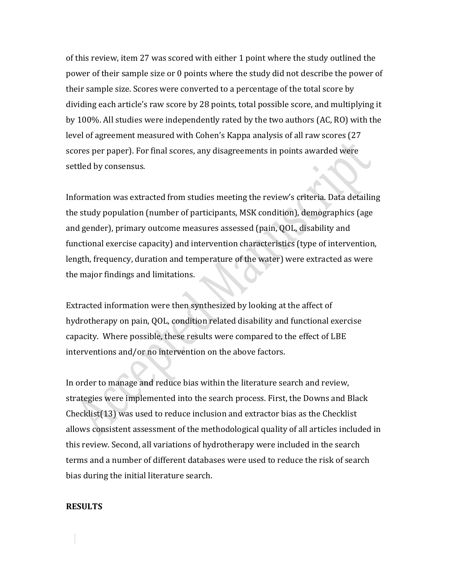of this review, item 27 was scored with either 1 point where the study outlined the power of their sample size or 0 points where the study did not describe the power of their sample size. Scores were converted to a percentage of the total score by dividing each article's raw score by 28 points, total possible score, and multiplying it by 100%. All studies were independently rated by the two authors (AC, RO) with the level of agreement measured with Cohen's Kappa analysis of all raw scores (27 scores per paper). For final scores, any disagreements in points awarded were settled by consensus.

Information was extracted from studies meeting the review's criteria. Data detailing the study population (number of participants, MSK condition), demographics (age and gender), primary outcome measures assessed (pain, QOL, disability and functional exercise capacity) and intervention characteristics (type of intervention, length, frequency, duration and temperature of the water) were extracted as were the major findings and limitations.

Extracted information were then synthesized by looking at the affect of hydrotherapy on pain, QOL, condition related disability and functional exercise capacity. Where possible, these results were compared to the effect of LBE interventions and/or no intervention on the above factors.

In order to manage and reduce bias within the literature search and review, strategies were implemented into the search process. First, the Downs and Black Checklist(13) was used to reduce inclusion and extractor bias as the Checklist allows consistent assessment of the methodological quality of all articles included in this review. Second, all variations of hydrotherapy were included in the search terms and a number of different databases were used to reduce the risk of search bias during the initial literature search.

#### **RESULTS**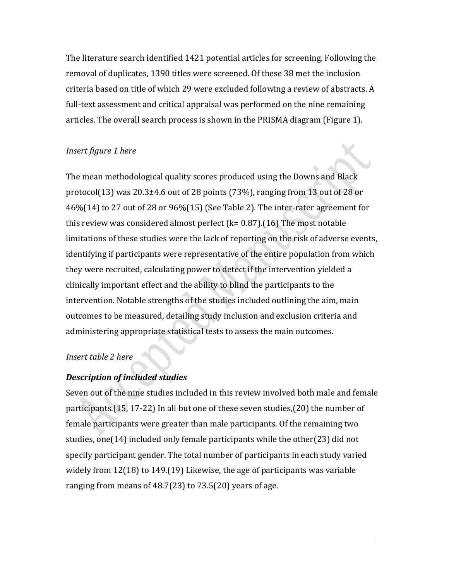The literature search identified 1421 potential articles for screening. Following the removal of duplicates, 1390 titles were screened. Of these 38 met the inclusion criteria based on title of which 29 were excluded following a review of abstracts. A full-text assessment and critical appraisal was performed on the nine remaining articles. The overall search process is shown in the PRISMA diagram (Figure 1).

## *Insert figure 1 here*

The mean methodological quality scores produced using the Downs and Black protocol(13) was 20.3±4.6 out of 28 points (73%), ranging from 13 out of 28 or 46%(14) to 27 out of 28 or 96%(15) (See Table 2). The inter-rater agreement for this review was considered almost perfect ( $k= 0.87$ ).(16) The most notable limitations of these studies were the lack of reporting on the risk of adverse events, identifying if participants were representative of the entire population from which they were recruited, calculating power to detect if the intervention yielded a clinically important effect and the ability to blind the participants to the intervention. Notable strengths of the studies included outlining the aim, main outcomes to be measured, detailing study inclusion and exclusion criteria and administering appropriate statistical tests to assess the main outcomes.

## *Insert table 2 here*

#### *Description of included studies*

Seven out of the nine studies included in this review involved both male and female participants.(15, 17-22) In all but one of these seven studies,(20) the number of female participants were greater than male participants. Of the remaining two studies, one(14) included only female participants while the other(23) did not specify participant gender. The total number of participants in each study varied widely from 12(18) to 149.(19) Likewise, the age of participants was variable ranging from means of 48.7(23) to 73.5(20) years of age.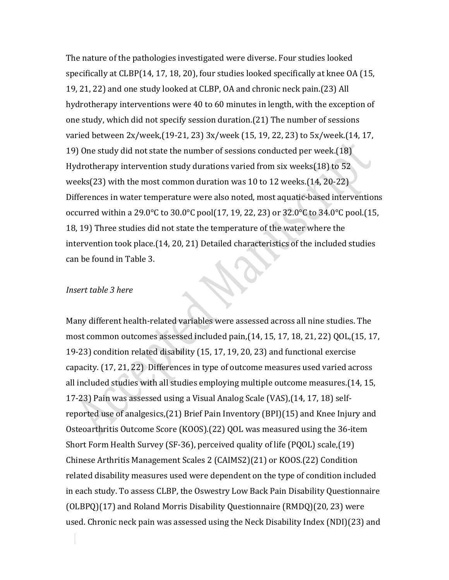The nature of the pathologies investigated were diverse. Four studies looked specifically at CLBP(14, 17, 18, 20), four studies looked specifically at knee OA (15, 19, 21, 22) and one study looked at CLBP, OA and chronic neck pain.(23) All hydrotherapy interventions were 40 to 60 minutes in length, with the exception of one study, which did not specify session duration.(21) The number of sessions varied between 2x/week,(19-21, 23) 3x/week (15, 19, 22, 23) to 5x/week.(14, 17, 19) One study did not state the number of sessions conducted per week.(18) Hydrotherapy intervention study durations varied from six weeks(18) to 52 weeks(23) with the most common duration was 10 to 12 weeks.(14, 20-22) Differences in water temperature were also noted, most aquatic-based interventions occurred within a 29.0°C to 30.0°C pool(17, 19, 22, 23) or 32.0°C to 34.0°C pool.(15, 18, 19) Three studies did not state the temperature of the water where the intervention took place.(14, 20, 21) Detailed characteristics of the included studies can be found in Table 3.

## *Insert table 3 here*

Many different health-related variables were assessed across all nine studies. The most common outcomes assessed included pain,(14, 15, 17, 18, 21, 22) QOL,(15, 17, 19-23) condition related disability (15, 17, 19, 20, 23) and functional exercise capacity. (17, 21, 22) Differences in type of outcome measures used varied across all included studies with all studies employing multiple outcome measures.(14, 15, 17-23) Pain was assessed using a Visual Analog Scale (VAS),(14, 17, 18) selfreported use of analgesics,(21) Brief Pain Inventory (BPI)(15) and Knee Injury and Osteoarthritis Outcome Score (KOOS).(22) QOL was measured using the 36-item Short Form Health Survey (SF-36), perceived quality of life (PQOL) scale,(19) Chinese Arthritis Management Scales 2 (CAIMS2)(21) or KOOS.(22) Condition related disability measures used were dependent on the type of condition included in each study. To assess CLBP, the Oswestry Low Back Pain Disability Questionnaire (OLBPQ)(17) and Roland Morris Disability Questionnaire (RMDQ)(20, 23) were used. Chronic neck pain was assessed using the Neck Disability Index (NDI)(23) and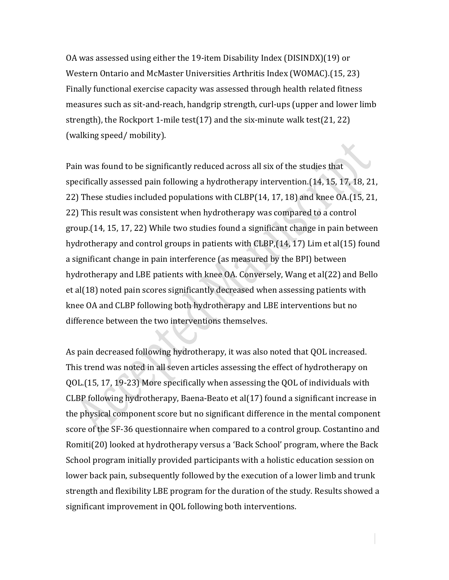OA was assessed using either the 19-item Disability Index (DISINDX)(19) or Western Ontario and McMaster Universities Arthritis Index (WOMAC).(15, 23) Finally functional exercise capacity was assessed through health related fitness measures such as sit-and-reach, handgrip strength, curl-ups (upper and lower limb strength), the Rockport 1-mile test(17) and the six-minute walk test(21, 22) (walking speed/ mobility).

Pain was found to be significantly reduced across all six of the studies that specifically assessed pain following a hydrotherapy intervention.(14, 15, 17, 18, 21, 22) These studies included populations with CLBP(14, 17, 18) and knee OA.(15, 21, 22) This result was consistent when hydrotherapy was compared to a control group.(14, 15, 17, 22) While two studies found a significant change in pain between hydrotherapy and control groups in patients with CLBP,(14, 17) Lim et al(15) found a significant change in pain interference (as measured by the BPI) between hydrotherapy and LBE patients with knee OA. Conversely, Wang et al(22) and Bello et al(18) noted pain scores significantly decreased when assessing patients with knee OA and CLBP following both hydrotherapy and LBE interventions but no difference between the two interventions themselves.

As pain decreased following hydrotherapy, it was also noted that QOL increased. This trend was noted in all seven articles assessing the effect of hydrotherapy on QOL.(15, 17, 19-23) More specifically when assessing the QOL of individuals with CLBP following hydrotherapy, Baena-Beato et al(17) found a significant increase in the physical component score but no significant difference in the mental component score of the SF-36 questionnaire when compared to a control group. Costantino and Romiti(20) looked at hydrotherapy versus a 'Back School' program, where the Back School program initially provided participants with a holistic education session on lower back pain, subsequently followed by the execution of a lower limb and trunk strength and flexibility LBE program for the duration of the study. Results showed a significant improvement in QOL following both interventions.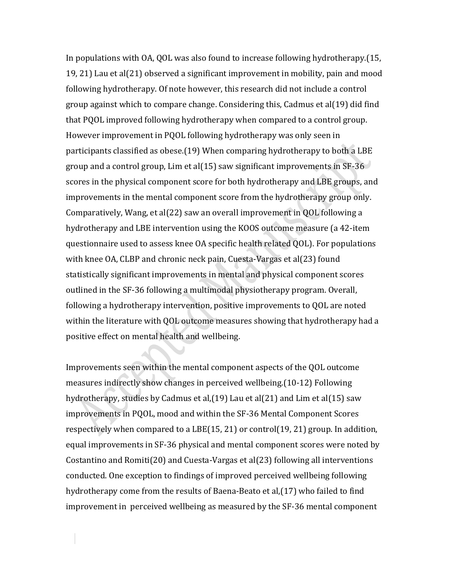In populations with OA, QOL was also found to increase following hydrotherapy.(15, 19, 21) Lau et al(21) observed a significant improvement in mobility, pain and mood following hydrotherapy. Of note however, this research did not include a control group against which to compare change. Considering this, Cadmus et al(19) did find that PQOL improved following hydrotherapy when compared to a control group. However improvement in PQOL following hydrotherapy was only seen in participants classified as obese.(19) When comparing hydrotherapy to both a LBE group and a control group, Lim et al(15) saw significant improvements in SF-36 scores in the physical component score for both hydrotherapy and LBE groups, and improvements in the mental component score from the hydrotherapy group only. Comparatively, Wang, et al(22) saw an overall improvement in QOL following a hydrotherapy and LBE intervention using the KOOS outcome measure (a 42-item questionnaire used to assess knee OA specific health related QOL). For populations with knee OA, CLBP and chronic neck pain, Cuesta-Vargas et al(23) found statistically significant improvements in mental and physical component scores outlined in the SF-36 following a multimodal physiotherapy program. Overall, following a hydrotherapy intervention, positive improvements to QOL are noted within the literature with QOL outcome measures showing that hydrotherapy had a positive effect on mental health and wellbeing.

Improvements seen within the mental component aspects of the QOL outcome measures indirectly show changes in perceived wellbeing.(10-12) Following hydrotherapy, studies by Cadmus et al,(19) Lau et al(21) and Lim et al(15) saw improvements in PQOL, mood and within the SF-36 Mental Component Scores respectively when compared to a LBE(15, 21) or control(19, 21) group. In addition, equal improvements in SF-36 physical and mental component scores were noted by Costantino and Romiti(20) and Cuesta-Vargas et al(23) following all interventions conducted. One exception to findings of improved perceived wellbeing following hydrotherapy come from the results of Baena-Beato et al,(17) who failed to find improvement in perceived wellbeing as measured by the SF-36 mental component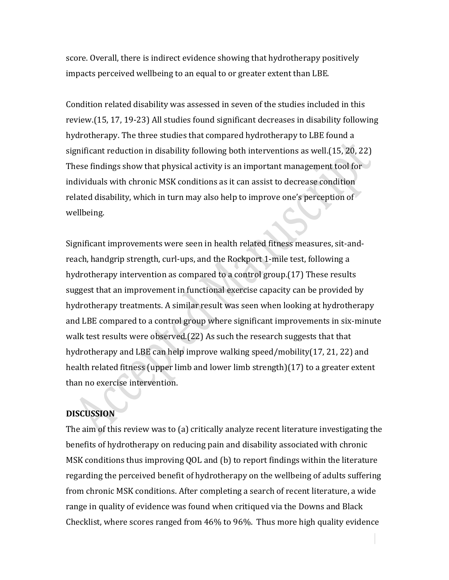score. Overall, there is indirect evidence showing that hydrotherapy positively impacts perceived wellbeing to an equal to or greater extent than LBE.

Condition related disability was assessed in seven of the studies included in this review.(15, 17, 19-23) All studies found significant decreases in disability following hydrotherapy. The three studies that compared hydrotherapy to LBE found a significant reduction in disability following both interventions as well.(15, 20, 22) These findings show that physical activity is an important management tool for individuals with chronic MSK conditions as it can assist to decrease condition related disability, which in turn may also help to improve one's perception of wellbeing.

Significant improvements were seen in health related fitness measures, sit-andreach, handgrip strength, curl-ups, and the Rockport 1-mile test, following a hydrotherapy intervention as compared to a control group.(17) These results suggest that an improvement in functional exercise capacity can be provided by hydrotherapy treatments. A similar result was seen when looking at hydrotherapy and LBE compared to a control group where significant improvements in six-minute walk test results were observed.(22) As such the research suggests that that hydrotherapy and LBE can help improve walking speed/mobility(17, 21, 22) and health related fitness (upper limb and lower limb strength)(17) to a greater extent than no exercise intervention.

# **DISCUSSION**

The aim of this review was to (a) critically analyze recent literature investigating the benefits of hydrotherapy on reducing pain and disability associated with chronic MSK conditions thus improving QOL and (b) to report findings within the literature regarding the perceived benefit of hydrotherapy on the wellbeing of adults suffering from chronic MSK conditions. After completing a search of recent literature, a wide range in quality of evidence was found when critiqued via the Downs and Black Checklist, where scores ranged from 46% to 96%. Thus more high quality evidence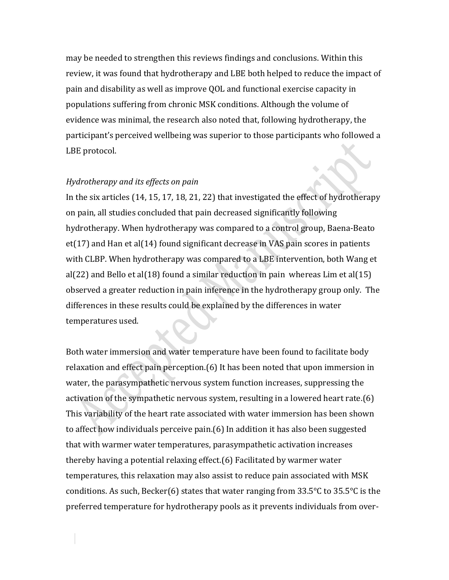may be needed to strengthen this reviews findings and conclusions. Within this review, it was found that hydrotherapy and LBE both helped to reduce the impact of pain and disability as well as improve QOL and functional exercise capacity in populations suffering from chronic MSK conditions. Although the volume of evidence was minimal, the research also noted that, following hydrotherapy, the participant's perceived wellbeing was superior to those participants who followed a LBE protocol.

#### *Hydrotherapy and its effects on pain*

In the six articles (14, 15, 17, 18, 21, 22) that investigated the effect of hydrotherapy on pain, all studies concluded that pain decreased significantly following hydrotherapy. When hydrotherapy was compared to a control group, Baena-Beato et(17) and Han et al(14) found significant decrease in VAS pain scores in patients with CLBP. When hydrotherapy was compared to a LBE intervention, both Wang et al(22) and Bello et al(18) found a similar reduction in pain whereas Lim et al(15) observed a greater reduction in pain inference in the hydrotherapy group only. The differences in these results could be explained by the differences in water temperatures used.

Both water immersion and water temperature have been found to facilitate body relaxation and effect pain perception.(6) It has been noted that upon immersion in water, the parasympathetic nervous system function increases, suppressing the activation of the sympathetic nervous system, resulting in a lowered heart rate.(6) This variability of the heart rate associated with water immersion has been shown to affect how individuals perceive pain.(6) In addition it has also been suggested that with warmer water temperatures, parasympathetic activation increases thereby having a potential relaxing effect.(6) Facilitated by warmer water temperatures, this relaxation may also assist to reduce pain associated with MSK conditions. As such, Becker(6) states that water ranging from 33.5°C to 35.5°C is the preferred temperature for hydrotherapy pools as it prevents individuals from over-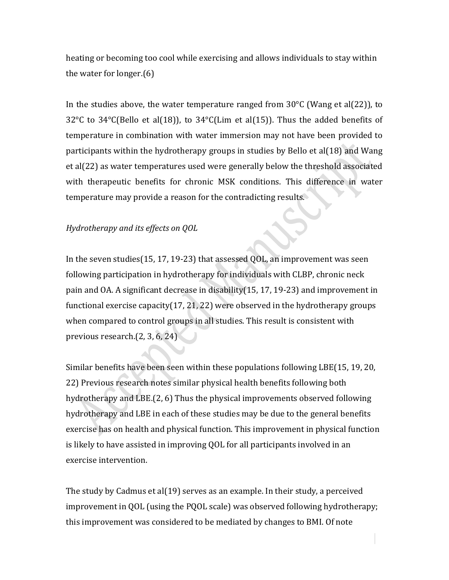heating or becoming too cool while exercising and allows individuals to stay within the water for longer.(6)

In the studies above, the water temperature ranged from  $30^{\circ}$ C (Wang et al(22)), to 32°C to 34°C(Bello et al(18)), to 34°C(Lim et al(15)). Thus the added benefits of temperature in combination with water immersion may not have been provided to participants within the hydrotherapy groups in studies by Bello et al(18) and Wang et al(22) as water temperatures used were generally below the threshold associated with therapeutic benefits for chronic MSK conditions. This difference in water temperature may provide a reason for the contradicting results.

# *Hydrotherapy and its effects on QOL*

In the seven studies(15, 17, 19-23) that assessed QOL, an improvement was seen following participation in hydrotherapy for individuals with CLBP, chronic neck pain and OA. A significant decrease in disability(15, 17, 19-23) and improvement in functional exercise capacity(17, 21, 22) were observed in the hydrotherapy groups when compared to control groups in all studies. This result is consistent with previous research.(2, 3, 6, 24)

Similar benefits have been seen within these populations following LBE(15, 19, 20, 22) Previous research notes similar physical health benefits following both hydrotherapy and LBE.(2, 6) Thus the physical improvements observed following hydrotherapy and LBE in each of these studies may be due to the general benefits exercise has on health and physical function. This improvement in physical function is likely to have assisted in improving QOL for all participants involved in an exercise intervention.

The study by Cadmus et al(19) serves as an example. In their study, a perceived improvement in QOL (using the PQOL scale) was observed following hydrotherapy; this improvement was considered to be mediated by changes to BMI. Of note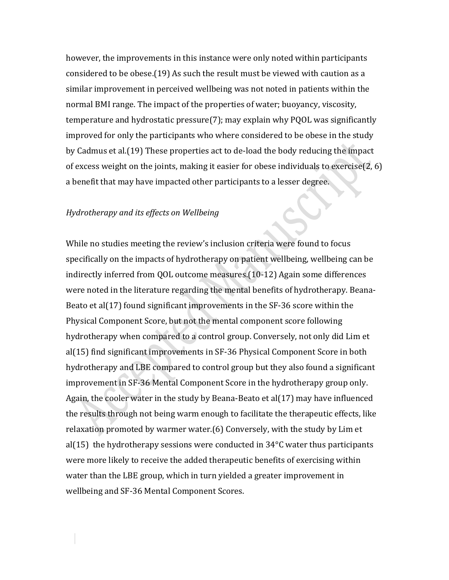however, the improvements in this instance were only noted within participants considered to be obese.(19) As such the result must be viewed with caution as a similar improvement in perceived wellbeing was not noted in patients within the normal BMI range. The impact of the properties of water; buoyancy, viscosity, temperature and hydrostatic pressure(7); may explain why PQOL was significantly improved for only the participants who where considered to be obese in the study by Cadmus et al.(19) These properties act to de-load the body reducing the impact of excess weight on the joints, making it easier for obese individuals to exercise(2, 6) a benefit that may have impacted other participants to a lesser degree.

#### *Hydrotherapy and its effects on Wellbeing*

While no studies meeting the review's inclusion criteria were found to focus specifically on the impacts of hydrotherapy on patient wellbeing, wellbeing can be indirectly inferred from QOL outcome measures.(10-12) Again some differences were noted in the literature regarding the mental benefits of hydrotherapy. Beana-Beato et al(17) found significant improvements in the SF-36 score within the Physical Component Score, but not the mental component score following hydrotherapy when compared to a control group. Conversely, not only did Lim et al(15) find significant improvements in SF-36 Physical Component Score in both hydrotherapy and LBE compared to control group but they also found a significant improvement in SF-36 Mental Component Score in the hydrotherapy group only. Again, the cooler water in the study by Beana-Beato et al(17) may have influenced the results through not being warm enough to facilitate the therapeutic effects, like relaxation promoted by warmer water.(6) Conversely, with the study by Lim et al(15) the hydrotherapy sessions were conducted in 34°C water thus participants were more likely to receive the added therapeutic benefits of exercising within water than the LBE group, which in turn yielded a greater improvement in wellbeing and SF-36 Mental Component Scores.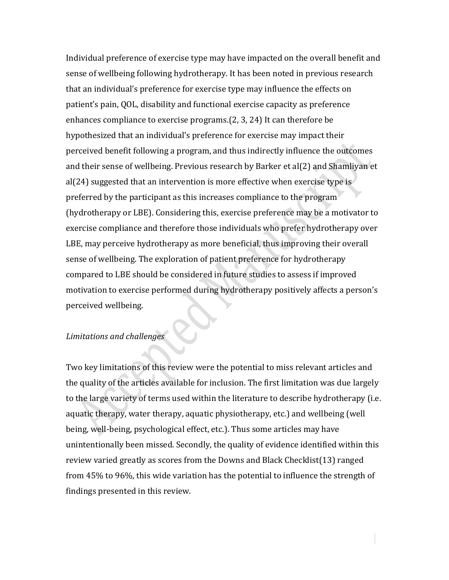Individual preference of exercise type may have impacted on the overall benefit and sense of wellbeing following hydrotherapy. It has been noted in previous research that an individual's preference for exercise type may influence the effects on patient's pain, QOL, disability and functional exercise capacity as preference enhances compliance to exercise programs.(2, 3, 24) It can therefore be hypothesized that an individual's preference for exercise may impact their perceived benefit following a program, and thus indirectly influence the outcomes and their sense of wellbeing. Previous research by Barker et al(2) and Shamliyan et al(24) suggested that an intervention is more effective when exercise type is preferred by the participant as this increases compliance to the program (hydrotherapy or LBE). Considering this, exercise preference may be a motivator to exercise compliance and therefore those individuals who prefer hydrotherapy over LBE, may perceive hydrotherapy as more beneficial, thus improving their overall sense of wellbeing. The exploration of patient preference for hydrotherapy compared to LBE should be considered in future studies to assess if improved motivation to exercise performed during hydrotherapy positively affects a person's perceived wellbeing.

# *Limitations and challenges*

Two key limitations of this review were the potential to miss relevant articles and the quality of the articles available for inclusion. The first limitation was due largely to the large variety of terms used within the literature to describe hydrotherapy (i.e. aquatic therapy, water therapy, aquatic physiotherapy, etc.) and wellbeing (well being, well-being, psychological effect, etc.). Thus some articles may have unintentionally been missed. Secondly, the quality of evidence identified within this review varied greatly as scores from the Downs and Black Checklist(13) ranged from 45% to 96%, this wide variation has the potential to influence the strength of findings presented in this review.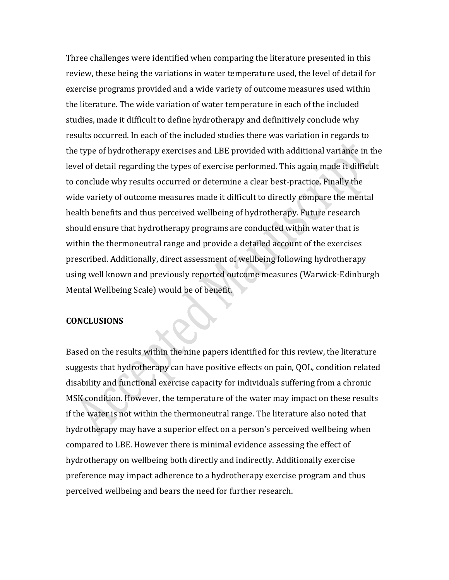Three challenges were identified when comparing the literature presented in this review, these being the variations in water temperature used, the level of detail for exercise programs provided and a wide variety of outcome measures used within the literature. The wide variation of water temperature in each of the included studies, made it difficult to define hydrotherapy and definitively conclude why results occurred. In each of the included studies there was variation in regards to the type of hydrotherapy exercises and LBE provided with additional variance in the level of detail regarding the types of exercise performed. This again made it difficult to conclude why results occurred or determine a clear best-practice. Finally the wide variety of outcome measures made it difficult to directly compare the mental health benefits and thus perceived wellbeing of hydrotherapy. Future research should ensure that hydrotherapy programs are conducted within water that is within the thermoneutral range and provide a detailed account of the exercises prescribed. Additionally, direct assessment of wellbeing following hydrotherapy using well known and previously reported outcome measures (Warwick-Edinburgh Mental Wellbeing Scale) would be of benefit.

#### **CONCLUSIONS**

Based on the results within the nine papers identified for this review, the literature suggests that hydrotherapy can have positive effects on pain, QOL, condition related disability and functional exercise capacity for individuals suffering from a chronic MSK condition. However, the temperature of the water may impact on these results if the water is not within the thermoneutral range. The literature also noted that hydrotherapy may have a superior effect on a person's perceived wellbeing when compared to LBE. However there is minimal evidence assessing the effect of hydrotherapy on wellbeing both directly and indirectly. Additionally exercise preference may impact adherence to a hydrotherapy exercise program and thus perceived wellbeing and bears the need for further research.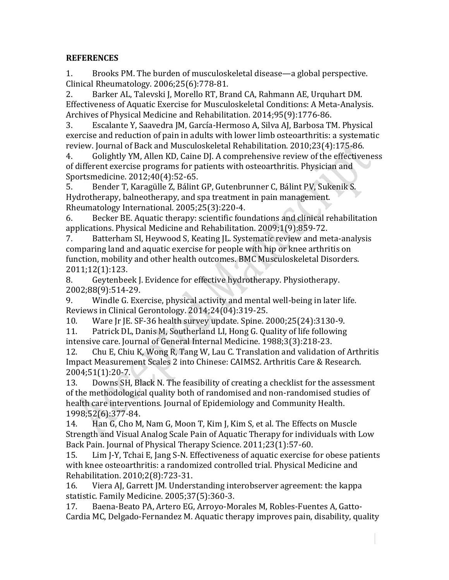# **REFERENCES**

1. Brooks PM. The burden of musculoskeletal disease—a global perspective. Clinical Rheumatology. 2006;25(6):778-81.

2. Barker AL, Talevski J, Morello RT, Brand CA, Rahmann AE, Urquhart DM. Effectiveness of Aquatic Exercise for Musculoskeletal Conditions: A Meta-Analysis. Archives of Physical Medicine and Rehabilitation. 2014;95(9):1776-86.

3. Escalante Y, Saavedra JM, García-Hermoso A, Silva AJ, Barbosa TM. Physical exercise and reduction of pain in adults with lower limb osteoarthritis: a systematic review. Journal of Back and Musculoskeletal Rehabilitation. 2010;23(4):175-86.

4. Golightly YM, Allen KD, Caine DJ. A comprehensive review of the effectiveness of different exercise programs for patients with osteoarthritis. Physician and Sportsmedicine. 2012;40(4):52-65.

5. Bender T, Karagülle Z, Bálint GP, Gutenbrunner C, Bálint PV, Sukenik S. Hydrotherapy, balneotherapy, and spa treatment in pain management. Rheumatology International. 2005;25(3):220-4.

6. Becker BE. Aquatic therapy: scientific foundations and clinical rehabilitation applications. Physical Medicine and Rehabilitation. 2009;1(9):859-72.

7. Batterham SI, Heywood S, Keating JL. Systematic review and meta-analysis comparing land and aquatic exercise for people with hip or knee arthritis on function, mobility and other health outcomes. BMC Musculoskeletal Disorders. 2011;12(1):123.

8. Geytenbeek J. Evidence for effective hydrotherapy. Physiotherapy. 2002;88(9):514-29.

9. Windle G. Exercise, physical activity and mental well-being in later life. Reviews in Clinical Gerontology. 2014;24(04):319-25.

10. Ware Jr JE. SF-36 health survey update. Spine. 2000;25(24):3130-9.

11. Patrick DL, Danis M, Southerland LI, Hong G. Quality of life following intensive care. Journal of General Internal Medicine. 1988;3(3):218-23.

12. Chu E, Chiu K, Wong R, Tang W, Lau C. Translation and validation of Arthritis Impact Measurement Scales 2 into Chinese: CAIMS2. Arthritis Care & Research. 2004;51(1):20-7.

13. Downs SH, Black N. The feasibility of creating a checklist for the assessment of the methodological quality both of randomised and non-randomised studies of health care interventions. Journal of Epidemiology and Community Health. 1998;52(6):377-84.

14. Han G, Cho M, Nam G, Moon T, Kim J, Kim S, et al. The Effects on Muscle Strength and Visual Analog Scale Pain of Aquatic Therapy for individuals with Low Back Pain. Journal of Physical Therapy Science. 2011;23(1):57-60.

15. Lim J-Y, Tchai E, Jang S-N. Effectiveness of aquatic exercise for obese patients with knee osteoarthritis: a randomized controlled trial. Physical Medicine and Rehabilitation. 2010;2(8):723-31.

16. Viera AJ, Garrett JM. Understanding interobserver agreement: the kappa statistic. Family Medicine. 2005;37(5):360-3.

17. Baena-Beato PA, Artero EG, Arroyo-Morales M, Robles-Fuentes A, Gatto-Cardia MC, Delgado-Fernandez M. Aquatic therapy improves pain, disability, quality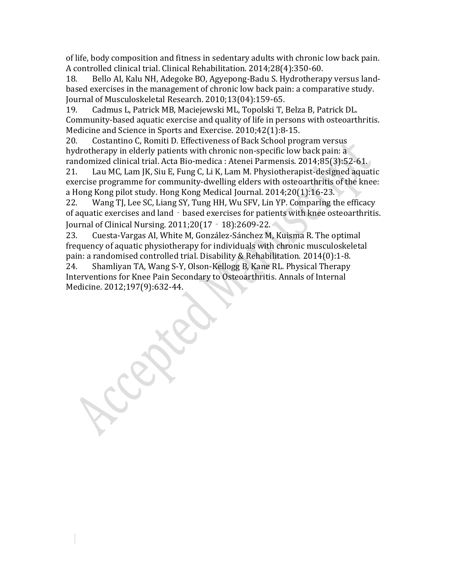of life, body composition and fitness in sedentary adults with chronic low back pain. A controlled clinical trial. Clinical Rehabilitation. 2014;28(4):350-60.

18. Bello AI, Kalu NH, Adegoke BO, Agyepong-Badu S. Hydrotherapy versus landbased exercises in the management of chronic low back pain: a comparative study. Journal of Musculoskeletal Research. 2010;13(04):159-65.

19. Cadmus L, Patrick MB, Maciejewski ML, Topolski T, Belza B, Patrick DL. Community-based aquatic exercise and quality of life in persons with osteoarthritis. Medicine and Science in Sports and Exercise. 2010;42(1):8-15.

20. Costantino C, Romiti D. Effectiveness of Back School program versus hydrotherapy in elderly patients with chronic non-specific low back pain: a randomized clinical trial. Acta Bio-medica : Atenei Parmensis. 2014;85(3):52-61.

21. Lau MC, Lam JK, Siu E, Fung C, Li K, Lam M. Physiotherapist-designed aquatic exercise programme for community-dwelling elders with osteoarthritis of the knee: a Hong Kong pilot study. Hong Kong Medical Journal. 2014;20(1):16-23.

22. Wang TJ, Lee SC, Liang SY, Tung HH, Wu SFV, Lin YP. Comparing the efficacy of aquatic exercises and land - based exercises for patients with knee osteoarthritis. Journal of Clinical Nursing. 2011;20(17‐18):2609-22.

23. Cuesta-Vargas AI, White M, González-Sánchez M, Kuisma R. The optimal frequency of aquatic physiotherapy for individuals with chronic musculoskeletal pain: a randomised controlled trial. Disability & Rehabilitation. 2014(0):1-8.

24. Shamliyan TA, Wang S-Y, Olson-Kellogg B, Kane RL. Physical Therapy Interventions for Knee Pain Secondary to Osteoarthritis. Annals of Internal Medicine. 2012;197(9):632-44.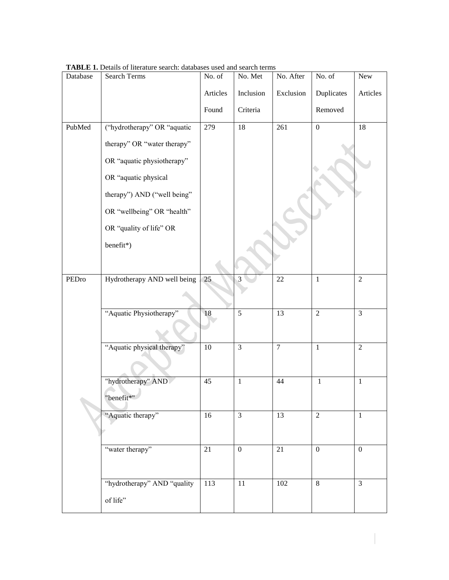| Database | Search Terms                | No. of   | No. Met        | No. After       | No. of         | ${\hbox{New}}$ |
|----------|-----------------------------|----------|----------------|-----------------|----------------|----------------|
|          |                             | Articles | Inclusion      | Exclusion       | Duplicates     | Articles       |
|          |                             | Found    | Criteria       |                 | Removed        |                |
| PubMed   | ("hydrotherapy" OR "aquatic | 279      | 18             | 261             | $\overline{0}$ | 18             |
|          | therapy" OR "water therapy" |          |                |                 |                |                |
|          | OR "aquatic physiotherapy"  |          |                |                 |                |                |
|          | OR "aquatic physical        |          |                |                 |                |                |
|          | therapy") AND ("well being" |          |                |                 |                |                |
|          | OR "wellbeing" OR "health"  |          |                |                 |                |                |
|          | OR "quality of life" OR     |          |                |                 |                |                |
|          | benefit*)                   |          |                |                 |                |                |
|          |                             |          |                |                 |                |                |
| PEDro    | Hydrotherapy AND well being | 25       | 3              | 22              | $\mathbf{1}$   | $\sqrt{2}$     |
|          |                             |          |                |                 |                |                |
|          | "Aquatic Physiotherapy"     | 18       | $\overline{5}$ | $\overline{13}$ | $\overline{2}$ | $\overline{3}$ |
|          |                             |          |                |                 |                |                |
|          | "Aquatic physical therapy"  | 10       | $\overline{3}$ | $\overline{7}$  | $\mathbf{1}$   | $\overline{2}$ |
|          |                             |          |                |                 |                |                |
|          | "hydrotherapy" AND          | 45       | $\mathbf{1}$   | 44              | $\mathbf{1}$   | $\mathbf{1}$   |
|          | "benefit*"                  |          |                |                 |                |                |
|          | "Aquatic therapy"           | 16       | $\overline{3}$ | 13              | $\overline{2}$ | 1              |
|          |                             |          |                |                 |                |                |
|          | "water therapy"             | 21       | $\mathbf{0}$   | 21              | $\overline{0}$ | $\overline{0}$ |
|          |                             |          |                |                 |                |                |
|          | "hydrotherapy" AND "quality | 113      | 11             | 102             | 8              | $\mathfrak{Z}$ |
|          | of life"                    |          |                |                 |                |                |

**TABLE 1.** Details of literature search: databases used and search terms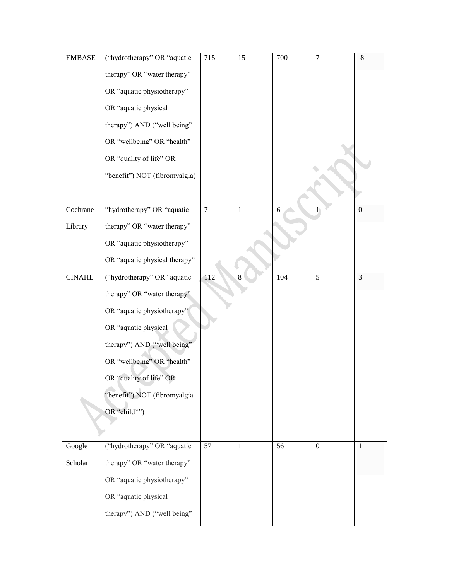| <b>EMBASE</b> | ("hydrotherapy" OR "aquatic   | 715            | 15           | 700 | $\overline{7}$   | $8\,$            |
|---------------|-------------------------------|----------------|--------------|-----|------------------|------------------|
|               | therapy" OR "water therapy"   |                |              |     |                  |                  |
|               | OR "aquatic physiotherapy"    |                |              |     |                  |                  |
|               | OR "aquatic physical          |                |              |     |                  |                  |
|               | therapy") AND ("well being"   |                |              |     |                  |                  |
|               | OR "wellbeing" OR "health"    |                |              |     |                  |                  |
|               | OR "quality of life" OR       |                |              |     |                  |                  |
|               | "benefit") NOT (fibromyalgia) |                |              |     |                  |                  |
|               |                               |                |              |     |                  |                  |
| Cochrane      | "hydrotherapy" OR "aquatic    | $\overline{7}$ | $\mathbf{1}$ | 6   | 1                | $\boldsymbol{0}$ |
| Library       | therapy" OR "water therapy"   |                |              |     |                  |                  |
|               | OR "aquatic physiotherapy"    |                |              |     |                  |                  |
|               | OR "aquatic physical therapy" |                |              |     |                  |                  |
| <b>CINAHL</b> | ("hydrotherapy" OR "aquatic   | 112            | 8            | 104 | 5                | 3                |
|               | therapy" OR "water therapy"   |                |              |     |                  |                  |
|               | OR "aquatic physiotherapy"    |                |              |     |                  |                  |
|               | OR "aquatic physical          |                |              |     |                  |                  |
|               | therapy") AND ("well being"   |                |              |     |                  |                  |
|               | OR "wellbeing" OR "health"    |                |              |     |                  |                  |
|               | OR "quality of life" OR       |                |              |     |                  |                  |
|               | "benefit") NOT (fibromyalgia  |                |              |     |                  |                  |
|               | OR "child*")                  |                |              |     |                  |                  |
|               |                               |                |              |     |                  |                  |
| Google        | ("hydrotherapy" OR "aquatic   | 57             | $\mathbf{1}$ | 56  | $\boldsymbol{0}$ | 1                |
| Scholar       | therapy" OR "water therapy"   |                |              |     |                  |                  |
|               | OR "aquatic physiotherapy"    |                |              |     |                  |                  |
|               | OR "aquatic physical          |                |              |     |                  |                  |
|               | therapy") AND ("well being"   |                |              |     |                  |                  |
|               |                               |                |              |     |                  |                  |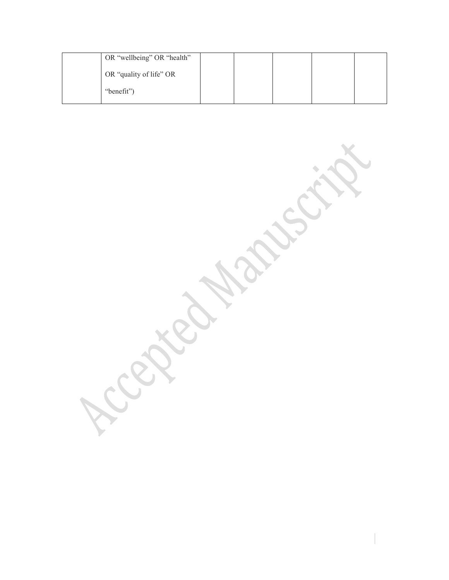| OR "wellbeing" OR "health" |  |  |  |
|----------------------------|--|--|--|
| OR "quality of life" OR    |  |  |  |
| "benefit")                 |  |  |  |

Acepted Maries it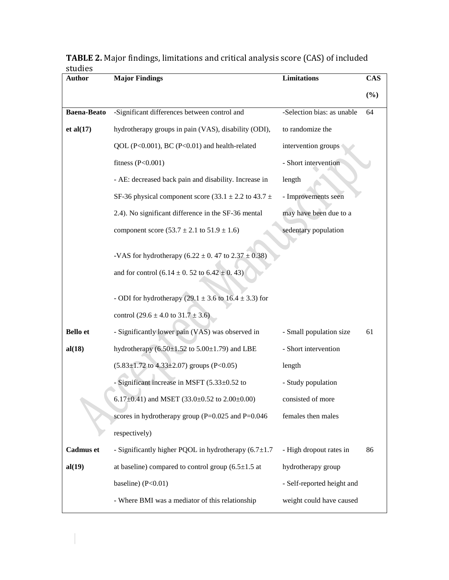| <b>Major Findings</b>                                                              | <b>Limitations</b>                                                                                                          | <b>CAS</b> |
|------------------------------------------------------------------------------------|-----------------------------------------------------------------------------------------------------------------------------|------------|
|                                                                                    |                                                                                                                             | (%)        |
| -Significant differences between control and                                       | -Selection bias: as unable                                                                                                  | 64         |
| hydrotherapy groups in pain (VAS), disability (ODI),                               | to randomize the                                                                                                            |            |
| QOL (P<0.001), BC (P<0.01) and health-related                                      | intervention groups                                                                                                         |            |
| fitness $(P<0.001)$                                                                | - Short intervention                                                                                                        |            |
| - AE: decreased back pain and disability. Increase in                              | length                                                                                                                      |            |
| SF-36 physical component score $(33.1 \pm 2.2 \text{ to } 43.7 \pm 1.0 \text{ m})$ | - Improvements seen                                                                                                         |            |
| 2.4). No significant difference in the SF-36 mental                                | may have been due to a                                                                                                      |            |
| component score $(53.7 \pm 2.1 \text{ to } 51.9 \pm 1.6)$                          | sedentary population                                                                                                        |            |
|                                                                                    |                                                                                                                             |            |
|                                                                                    |                                                                                                                             |            |
|                                                                                    |                                                                                                                             |            |
| - ODI for hydrotherapy (29.1 $\pm$ 3.6 to 16.4 $\pm$ 3.3) for                      |                                                                                                                             |            |
| control $(29.6 \pm 4.0 \text{ to } 31.7 \pm 3.6)$                                  |                                                                                                                             |            |
| - Significantly lower pain (VAS) was observed in                                   | - Small population size                                                                                                     | 61         |
| hydrotherapy $(6.50 \pm 1.52 \text{ to } 5.00 \pm 1.79)$ and LBE                   | - Short intervention                                                                                                        |            |
| $(5.83 \pm 1.72 \text{ to } 4.33 \pm 2.07)$ groups (P<0.05)                        | length                                                                                                                      |            |
| - Significant increase in MSFT (5.33±0.52 to                                       | - Study population                                                                                                          |            |
| 6.17±0.41) and MSET $(33.0\pm0.52 \text{ to } 2.00\pm0.00)$                        | consisted of more                                                                                                           |            |
| scores in hydrotherapy group ( $P=0.025$ and $P=0.046$ )                           | females then males                                                                                                          |            |
| respectively)                                                                      |                                                                                                                             |            |
| - Significantly higher PQOL in hydrotherapy $(6.7 \pm 1.7)$                        | - High dropout rates in                                                                                                     | 86         |
| at baseline) compared to control group $(6.5 \pm 1.5 \text{ at}$                   | hydrotherapy group                                                                                                          |            |
| baseline) $(P<0.01)$                                                               | - Self-reported height and                                                                                                  |            |
| - Where BMI was a mediator of this relationship                                    | weight could have caused                                                                                                    |            |
|                                                                                    | -VAS for hydrotherapy $(6.22 \pm 0.47)$ to $2.37 \pm 0.38$ )<br>and for control $(6.14 \pm 0.52 \text{ to } 6.42 \pm 0.43)$ |            |

**TABLE 2.** Major findings, limitations and critical analysis score (CAS) of included studies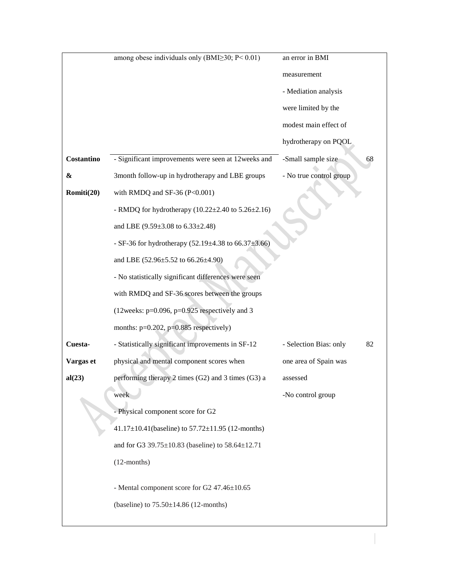|            | among obese individuals only (BMI $\geq$ 30; P< 0.01)                  | an error in BMI              |
|------------|------------------------------------------------------------------------|------------------------------|
|            |                                                                        | measurement                  |
|            |                                                                        | - Mediation analysis         |
|            |                                                                        | were limited by the          |
|            |                                                                        | modest main effect of        |
|            |                                                                        | hydrotherapy on PQOL         |
| Costantino | - Significant improvements were seen at 12weeks and                    | -Small sample size<br>68     |
| &          | 3month follow-up in hydrotherapy and LBE groups                        | - No true control group      |
| Romiti(20) | with RMDQ and SF-36 (P< $0.001$ )                                      |                              |
|            | - RMDQ for hydrotherapy $(10.22 \pm 2.40 \text{ to } 5.26 \pm 2.16)$   |                              |
|            | and LBE (9.59±3.08 to 6.33±2.48)                                       |                              |
|            | - SF-36 for hydrotherapy $(52.19 \pm 4.38 \text{ to } 66.37 \pm 3.66)$ |                              |
|            | and LBE (52.96±5.52 to 66.26±4.90)                                     |                              |
|            | - No statistically significant differences were seen                   |                              |
|            | with RMDQ and SF-36 scores between the groups                          |                              |
|            | (12weeks: $p=0.096$ , $p=0.925$ respectively and 3                     |                              |
|            | months: $p=0.202$ , $p=0.885$ respectively)                            |                              |
| Cuesta-    | - Statistically significant improvements in SF-12                      | - Selection Bias: only<br>82 |
| Vargas et  | physical and mental component scores when                              | one area of Spain was        |
| al(23)     | performing therapy 2 times (G2) and 3 times (G3) a                     | assessed                     |
|            | week                                                                   | -No control group            |
|            | - Physical component score for G2                                      |                              |
|            | $41.17 \pm 10.41$ (baseline) to $57.72 \pm 11.95$ (12-months)          |                              |
|            | and for G3 39.75±10.83 (baseline) to 58.64±12.71                       |                              |
|            | $(12$ -months)                                                         |                              |
|            |                                                                        |                              |
|            | - Mental component score for G2 47.46±10.65                            |                              |
|            | (baseline) to $75.50 \pm 14.86$ (12-months)                            |                              |
|            |                                                                        |                              |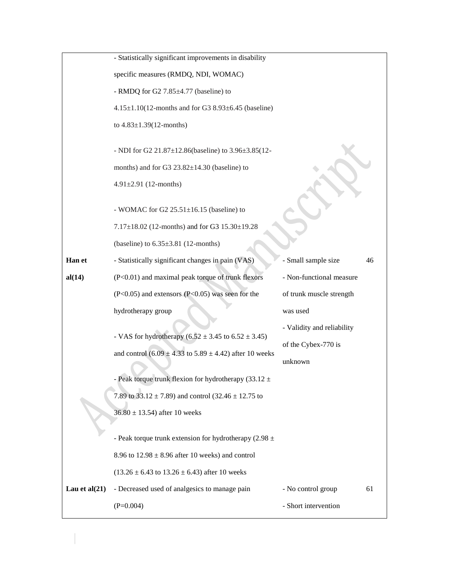|                  | - Statistically significant improvements in disability                 |                            |    |
|------------------|------------------------------------------------------------------------|----------------------------|----|
|                  | specific measures (RMDQ, NDI, WOMAC)                                   |                            |    |
|                  | - RMDQ for G2 7.85±4.77 (baseline) to                                  |                            |    |
|                  | $4.15 \pm 1.10(12$ -months and for G3 8.93 $\pm$ 6.45 (baseline)       |                            |    |
|                  | to $4.83 \pm 1.39(12$ -months)                                         |                            |    |
|                  | - NDI for G2 21.87±12.86(baseline) to 3.96±3.85(12-                    |                            |    |
|                  | months) and for G3 $23.82 \pm 14.30$ (baseline) to                     |                            |    |
|                  | $4.91 \pm 2.91$ (12-months)                                            |                            |    |
|                  | - WOMAC for G2 $25.51 \pm 16.15$ (baseline) to                         |                            |    |
|                  | 7.17±18.02 (12-months) and for G3 15.30±19.28                          |                            |    |
|                  | (baseline) to $6.35\pm3.81$ (12-months)                                |                            |    |
| Han et           | - Statistically significant changes in pain (VAS)                      | - Small sample size        | 46 |
| al(14)           | (P<0.01) and maximal peak torque of trunk flexors                      | - Non-functional measure   |    |
|                  | $(P<0.05)$ and extensors $(P<0.05)$ was seen for the                   | of trunk muscle strength   |    |
|                  | hydrotherapy group                                                     | was used                   |    |
|                  | - VAS for hydrotherapy $(6.52 \pm 3.45 \text{ to } 6.52 \pm 3.45)$     | - Validity and reliability |    |
|                  |                                                                        | of the Cybex-770 is        |    |
|                  | and control $(6.09 \pm 4.33 \text{ to } 5.89 \pm 4.42)$ after 10 weeks | unknown                    |    |
|                  | Peak torque trunk flexion for hydrotherapy (33.12 $\pm$                |                            |    |
|                  | 7.89 to $33.12 \pm 7.89$ ) and control (32.46 $\pm$ 12.75 to           |                            |    |
|                  | $36.80 \pm 13.54$ ) after 10 weeks                                     |                            |    |
|                  | - Peak torque trunk extension for hydrotherapy $(2.98 \pm$             |                            |    |
|                  | 8.96 to $12.98 \pm 8.96$ after 10 weeks) and control                   |                            |    |
|                  | $(13.26 \pm 6.43 \text{ to } 13.26 \pm 6.43)$ after 10 weeks           |                            |    |
| Lau et al $(21)$ | - Decreased used of analgesics to manage pain                          | - No control group         | 61 |
|                  | $(P=0.004)$                                                            | - Short intervention       |    |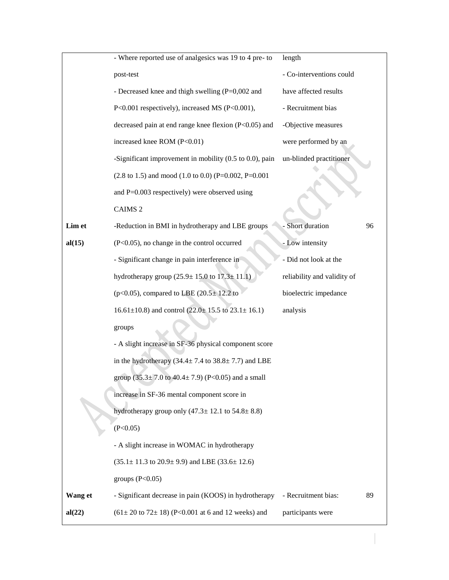|         | - Where reported use of analgesics was 19 to 4 pre- to                     | length                      |    |
|---------|----------------------------------------------------------------------------|-----------------------------|----|
|         | post-test                                                                  | - Co-interventions could    |    |
|         | - Decreased knee and thigh swelling (P=0,002 and                           | have affected results       |    |
|         | P<0.001 respectively), increased MS (P<0.001),                             | - Recruitment bias          |    |
|         | decreased pain at end range knee flexion (P<0.05) and                      | -Objective measures         |    |
|         | increased knee ROM (P<0.01)                                                | were performed by an        |    |
|         | -Significant improvement in mobility $(0.5 \text{ to } 0.0)$ , pain        | un-blinded practitioner     |    |
|         | $(2.8 \text{ to } 1.5)$ and mood $(1.0 \text{ to } 0.0)$ (P=0.002, P=0.001 |                             |    |
|         | and $P=0.003$ respectively) were observed using                            |                             |    |
|         | CAIMS <sub>2</sub>                                                         |                             |    |
| Lim et  | -Reduction in BMI in hydrotherapy and LBE groups                           | Short duration              | 96 |
| al(15)  | (P<0.05), no change in the control occurred                                | - Low intensity             |    |
|         | - Significant change in pain interference in                               | - Did not look at the       |    |
|         | hydrotherapy group $(25.9 \pm 15.0 \text{ to } 17.3 \pm 11.1)$             | reliability and validity of |    |
|         | ( $p<0.05$ ), compared to LBE ( $20.5 \pm 12.2$ to                         | bioelectric impedance       |    |
|         | $16.61 \pm 10.8$ ) and control (22.0 ± 15.5 to 23.1 ± 16.1)                | analysis                    |    |
|         | groups                                                                     |                             |    |
|         | - A slight increase in SF-36 physical component score                      |                             |    |
|         | in the hydrotherapy $(34.4 \pm 7.4 \text{ to } 38.8 \pm 7.7)$ and LBE      |                             |    |
|         | group $(35.3 \pm 7.0 \text{ to } 40.4 \pm 7.9)$ (P<0.05) and a small       |                             |    |
|         | increase in SF-36 mental component score in                                |                             |    |
|         | hydrotherapy group only $(47.3 \pm 12.1)$ to $54.8 \pm 8.8$ )              |                             |    |
|         | (P<0.05)                                                                   |                             |    |
|         | - A slight increase in WOMAC in hydrotherapy                               |                             |    |
|         | $(35.1 \pm 11.3 \text{ to } 20.9 \pm 9.9)$ and LBE $(33.6 \pm 12.6)$       |                             |    |
|         | groups $(P<0.05)$                                                          |                             |    |
| Wang et | - Significant decrease in pain (KOOS) in hydrotherapy                      | - Recruitment bias:         | 89 |
| al(22)  | $(61 \pm 20 \text{ to } 72 \pm 18)$ (P<0.001 at 6 and 12 weeks) and        | participants were           |    |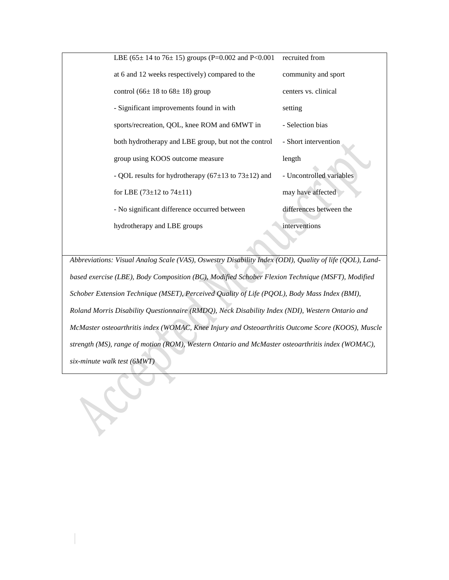| LBE $(65 \pm 14 \text{ to } 76 \pm 15)$ groups $(P=0.002 \text{ and } P<0.001$ | recruited from           |
|--------------------------------------------------------------------------------|--------------------------|
| at 6 and 12 weeks respectively) compared to the                                | community and sport      |
| control (66 $\pm$ 18 to 68 $\pm$ 18) group                                     | centers vs. clinical     |
| - Significant improvements found in with                                       | setting                  |
| sports/recreation, QOL, knee ROM and 6MWT in                                   | - Selection bias         |
| both hydrotherapy and LBE group, but not the control                           | - Short intervention     |
| group using KOOS outcome measure                                               | length                   |
| - QOL results for hydrotherapy ( $67\pm13$ to $73\pm12$ ) and                  | - Uncontrolled variables |
| for LBE $(73\pm12 \text{ to } 74\pm11)$                                        | may have affected        |
| - No significant difference occurred between                                   | differences between the  |
| hydrotherapy and LBE groups                                                    | interventions            |

*Abbreviations: Visual Analog Scale (VAS), Oswestry Disability Index (ODI), Quality of life (QOL), Landbased exercise (LBE), Body Composition (BC), Modified Schober Flexion Technique (MSFT), Modified Schober Extension Technique (MSET), Perceived Quality of Life (PQOL), Body Mass Index (BMI), Roland Morris Disability Questionnaire (RMDQ), Neck Disability Index (NDI), Western Ontario and McMaster osteoarthritis index (WOMAC, Knee Injury and Osteoarthritis Outcome Score (KOOS), Muscle strength (MS), range of motion (ROM), Western Ontario and McMaster osteoarthritis index (WOMAC), six-minute walk test (6MWT)*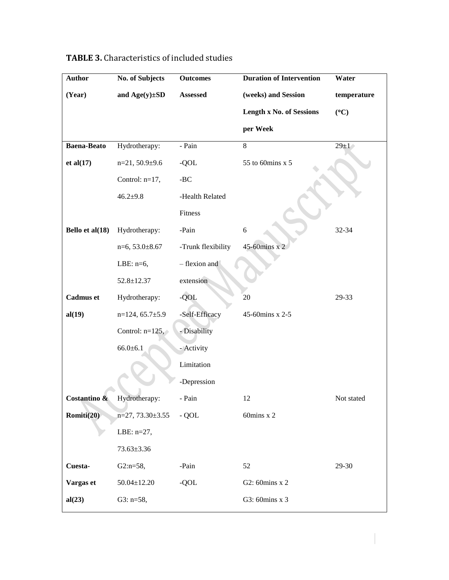| <b>Author</b>      | No. of Subjects       | <b>Outcomes</b>    | <b>Duration of Intervention</b> | Water       |
|--------------------|-----------------------|--------------------|---------------------------------|-------------|
| (Year)             | and $Age(y) \pm SD$   | Assessed           | (weeks) and Session             | temperature |
|                    |                       |                    | <b>Length x No. of Sessions</b> | (C)         |
|                    |                       |                    | per Week                        |             |
| <b>Baena-Beato</b> | Hydrotherapy:         | - Pain             | $8\,$                           | $29 \pm 1$  |
| et al(17)          | $n=21, 50.9+9.6$      | -QOL               | 55 to 60mins x 5                |             |
|                    | Control: n=17,        | -BC                |                                 |             |
|                    | $46.2 + 9.8$          | -Health Related    |                                 |             |
|                    |                       | Fitness            |                                 |             |
| Bello et al(18)    | Hydrotherapy:         | -Pain              | $\sqrt{6}$                      | 32-34       |
|                    | $n=6, 53.0 \pm 8.67$  | -Trunk flexibility | 45-60mins x 2                   |             |
|                    | LBE: $n=6$ ,          | - flexion and      |                                 |             |
|                    | $52.8 \pm 12.37$      | extension          |                                 |             |
| <b>Cadmus</b> et   | Hydrotherapy:         | -QOL               | 20                              | 29-33       |
| al(19)             | $n=124, 65.7 \pm 5.9$ | -Self-Efficacy     | 45-60mins x 2-5                 |             |
|                    | Control: $n=125$ ,    | - Disability       |                                 |             |
|                    | $66.0 \pm 6.1$        | - Activity         |                                 |             |
|                    |                       | Limitation         |                                 |             |
|                    |                       | -Depression        |                                 |             |
| Costantino &       | Hydrotherapy:         | Pain               | 12                              | Not stated  |
| Romiti(20)         | $n=27, 73.30\pm3.55$  | $-$ QOL            | 60mins x 2                      |             |
|                    | LBE: $n=27$ ,         |                    |                                 |             |
|                    | $73.63 \pm 3.36$      |                    |                                 |             |
| Cuesta-            | $G2:n=58,$            | -Pain              | 52                              | 29-30       |
| Vargas et          | $50.04 \pm 12.20$     | -QOL               | G2: 60mins x 2                  |             |
| al(23)             | G3: $n=58$ ,          |                    | G3: 60mins x 3                  |             |
|                    |                       |                    |                                 |             |

# **TABLE 3.** Characteristics of included studies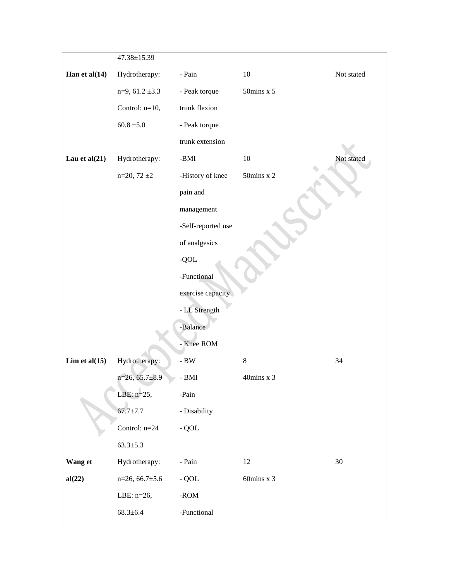|                  | 47.38±15.39          |                    |                          |            |
|------------------|----------------------|--------------------|--------------------------|------------|
| Han et al $(14)$ | Hydrotherapy:        | - Pain             | $10\,$                   | Not stated |
|                  | $n=9, 61.2 \pm 3.3$  | - Peak torque      | $50 \mathrm{mins}$ x $5$ |            |
|                  | Control: n=10,       | trunk flexion      |                          |            |
|                  | $60.8 \pm 5.0$       | - Peak torque      |                          |            |
|                  |                      | trunk extension    |                          |            |
| Lau et al $(21)$ | Hydrotherapy:        | -BMI               | $10\,$                   | Not stated |
|                  | $n=20, 72 \pm 2$     | -History of knee   | $50$ mins x 2            |            |
|                  |                      | pain and           |                          |            |
|                  |                      | management         |                          |            |
|                  |                      | -Self-reported use |                          |            |
|                  |                      | of analgesics      |                          |            |
|                  |                      | $-QOL$             |                          |            |
|                  |                      | -Functional        |                          |            |
|                  |                      | exercise capacity  |                          |            |
|                  |                      | - LL Strength      |                          |            |
|                  |                      | -Balance           |                          |            |
|                  |                      | - Knee ROM         |                          |            |
| Lim et al $(15)$ | Hydrotherapy:        | - $\mathbf{BW}$    | $\,8\,$                  | 34         |
|                  | $n=26, 65.7\pm8.9$   | - BMI              | 40mins x 3               |            |
|                  | LBE: $n=25$ ,        | -Pain              |                          |            |
|                  | $67.7 \pm 7.7$       | - Disability       |                          |            |
|                  | Control: $n=24$      | $-$ QOL            |                          |            |
|                  | $63.3 \pm 5.3$       |                    |                          |            |
| Wang et          | Hydrotherapy:        | - Pain             | 12                       | 30         |
| al(22)           | $n=26, 66.7 \pm 5.6$ | $-$ QOL            | 60mins x 3               |            |
|                  | LBE: n=26,           | - $ROM$            |                          |            |
|                  | $68.3 \pm 6.4$       | -Functional        |                          |            |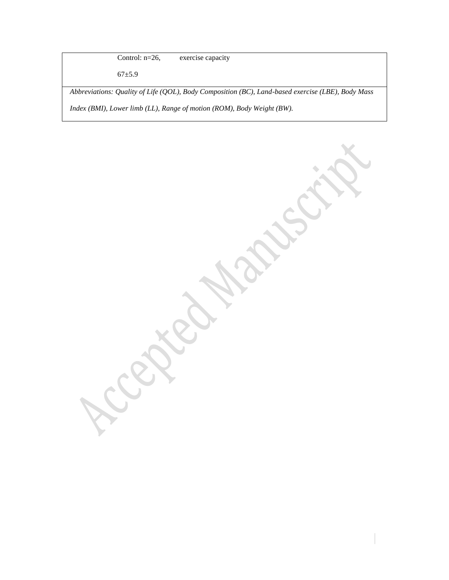Control: n=26, exercise capacity

67±5.9

*Abbreviations: Quality of Life (QOL), Body Composition (BC), Land-based exercise (LBE), Body Mass Index (BMI), Lower limb (LL), Range of motion (ROM), Body Weight (BW).*